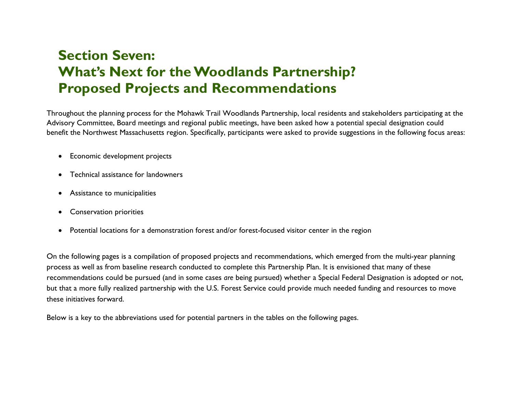# **Section Seven: What's Next for the Woodlands Partnership? Proposed Projects and Recommendations**

Throughout the planning process for the Mohawk Trail Woodlands Partnership, local residents and stakeholders participating at the Advisory Committee, Board meetings and regional public meetings, have been asked how a potential special designation could benefit the Northwest Massachusetts region. Specifically, participants were asked to provide suggestions in the following focus areas:

- Economic development projects
- Technical assistance for landowners
- Assistance to municipalities
- Conservation priorities
- Potential locations for a demonstration forest and/or forest-focused visitor center in the region

On the following pages is a compilation of proposed projects and recommendations, which emerged from the multi-year planning process as well as from baseline research conducted to complete this Partnership Plan. It is envisioned that many of these recommendations could be pursued (and in some cases *are* being pursued) whether a Special Federal Designation is adopted or not, but that a more fully realized partnership with the U.S. Forest Service could provide much needed funding and resources to move these initiatives forward.

Below is a key to the abbreviations used for potential partners in the tables on the following pages.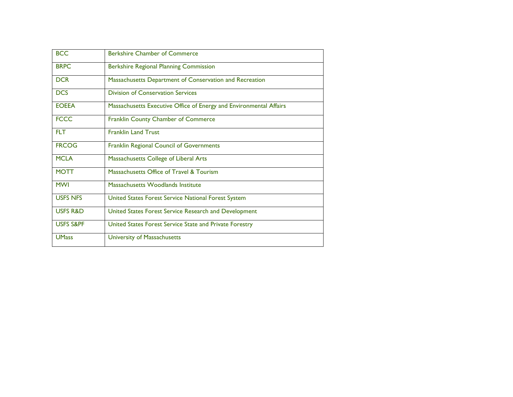| <b>BCC</b>           | Berkshire Chamber of Commerce                                      |
|----------------------|--------------------------------------------------------------------|
| <b>BRPC</b>          | <b>Berkshire Regional Planning Commission</b>                      |
| <b>DCR</b>           | Massachusetts Department of Conservation and Recreation            |
| <b>DCS</b>           | <b>Division of Conservation Services</b>                           |
| <b>EOEEA</b>         | Massachusetts Executive Office of Energy and Environmental Affairs |
| <b>FCCC</b>          | Franklin County Chamber of Commerce                                |
| <b>FLT</b>           | <b>Franklin Land Trust</b>                                         |
| <b>FRCOG</b>         | Franklin Regional Council of Governments                           |
| <b>MCLA</b>          | Massachusetts College of Liberal Arts                              |
| <b>MOTT</b>          | Massachusetts Office of Travel & Tourism                           |
| <b>MWI</b>           | Massachusetts Woodlands Institute                                  |
| <b>USFS NFS</b>      | United States Forest Service National Forest System                |
| <b>USFS R&amp;D</b>  | United States Forest Service Research and Development              |
| <b>USFS S&amp;PF</b> | United States Forest Service State and Private Forestry            |
| <b>UMass</b>         | University of Massachusetts                                        |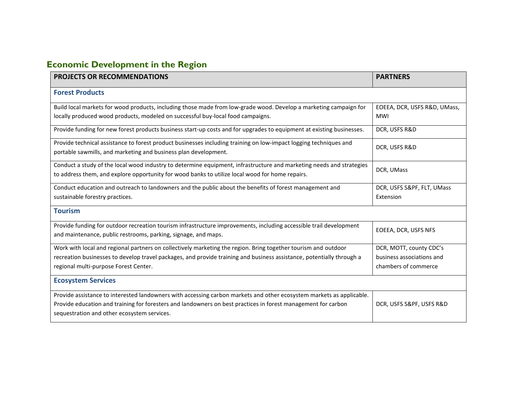# **Economic Development in the Region**

| <b>PROJECTS OR RECOMMENDATIONS</b>                                                                                                                                                                                      | <b>PARTNERS</b>              |
|-------------------------------------------------------------------------------------------------------------------------------------------------------------------------------------------------------------------------|------------------------------|
| <b>Forest Products</b>                                                                                                                                                                                                  |                              |
| Build local markets for wood products, including those made from low-grade wood. Develop a marketing campaign for                                                                                                       | EOEEA, DCR, USFS R&D, UMass, |
| locally produced wood products, modeled on successful buy-local food campaigns.                                                                                                                                         | <b>MWI</b>                   |
| Provide funding for new forest products business start-up costs and for upgrades to equipment at existing businesses.                                                                                                   | DCR, USFS R&D                |
| Provide technical assistance to forest product businesses including training on low-impact logging techniques and<br>portable sawmills, and marketing and business plan development.                                    | DCR, USFS R&D                |
| Conduct a study of the local wood industry to determine equipment, infrastructure and marketing needs and strategies<br>to address them, and explore opportunity for wood banks to utilize local wood for home repairs. | DCR, UMass                   |
| Conduct education and outreach to landowners and the public about the benefits of forest management and                                                                                                                 | DCR, USFS S&PF, FLT, UMass   |
| sustainable forestry practices.                                                                                                                                                                                         | Extension                    |
| <b>Tourism</b>                                                                                                                                                                                                          |                              |
| Provide funding for outdoor recreation tourism infrastructure improvements, including accessible trail development<br>and maintenance, public restrooms, parking, signage, and maps.                                    | EOEEA, DCR, USFS NFS         |
| Work with local and regional partners on collectively marketing the region. Bring together tourism and outdoor                                                                                                          | DCR, MOTT, county CDC's      |
| recreation businesses to develop travel packages, and provide training and business assistance, potentially through a                                                                                                   | business associations and    |
| regional multi-purpose Forest Center.                                                                                                                                                                                   | chambers of commerce         |
| <b>Ecosystem Services</b>                                                                                                                                                                                               |                              |
| Provide assistance to interested landowners with accessing carbon markets and other ecosystem markets as applicable.                                                                                                    |                              |
| Provide education and training for foresters and landowners on best practices in forest management for carbon<br>sequestration and other ecosystem services.                                                            | DCR, USFS S&PF, USFS R&D     |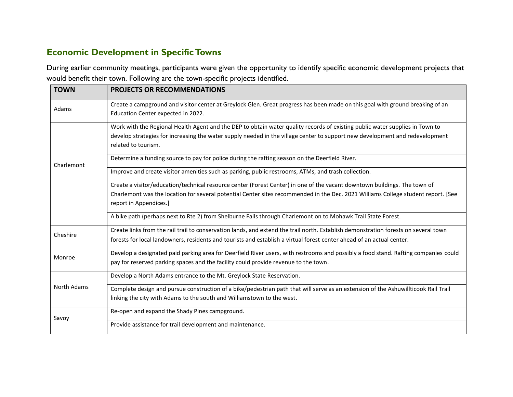## **Economic Development in Specific Towns**

During earlier community meetings, participants were given the opportunity to identify specific economic development projects that would benefit their town. Following are the town-specific projects identified.

| <b>TOWN</b> | <b>PROJECTS OR RECOMMENDATIONS</b>                                                                                                                                                                                                                                                                                                                                                                       |
|-------------|----------------------------------------------------------------------------------------------------------------------------------------------------------------------------------------------------------------------------------------------------------------------------------------------------------------------------------------------------------------------------------------------------------|
| Adams       | Create a campground and visitor center at Greylock Glen. Great progress has been made on this goal with ground breaking of an<br>Education Center expected in 2022.                                                                                                                                                                                                                                      |
|             | Work with the Regional Health Agent and the DEP to obtain water quality records of existing public water supplies in Town to<br>develop strategies for increasing the water supply needed in the village center to support new development and redevelopment<br>related to tourism.                                                                                                                      |
| Charlemont  | Determine a funding source to pay for police during the rafting season on the Deerfield River.                                                                                                                                                                                                                                                                                                           |
|             | Improve and create visitor amenities such as parking, public restrooms, ATMs, and trash collection.                                                                                                                                                                                                                                                                                                      |
|             | Create a visitor/education/technical resource center (Forest Center) in one of the vacant downtown buildings. The town of<br>Charlemont was the location for several potential Center sites recommended in the Dec. 2021 Williams College student report. [See<br>report in Appendices.]<br>A bike path (perhaps next to Rte 2) from Shelburne Falls through Charlemont on to Mohawk Trail State Forest. |
|             |                                                                                                                                                                                                                                                                                                                                                                                                          |
| Cheshire    | Create links from the rail trail to conservation lands, and extend the trail north. Establish demonstration forests on several town<br>forests for local landowners, residents and tourists and establish a virtual forest center ahead of an actual center.                                                                                                                                             |
| Monroe      | Develop a designated paid parking area for Deerfield River users, with restrooms and possibly a food stand. Rafting companies could<br>pay for reserved parking spaces and the facility could provide revenue to the town.                                                                                                                                                                               |
|             | Develop a North Adams entrance to the Mt. Greylock State Reservation.                                                                                                                                                                                                                                                                                                                                    |
| North Adams | Complete design and pursue construction of a bike/pedestrian path that will serve as an extension of the Ashuwillticook Rail Trail<br>linking the city with Adams to the south and Williamstown to the west.                                                                                                                                                                                             |
| Savoy       | Re-open and expand the Shady Pines campground.                                                                                                                                                                                                                                                                                                                                                           |
|             | Provide assistance for trail development and maintenance.                                                                                                                                                                                                                                                                                                                                                |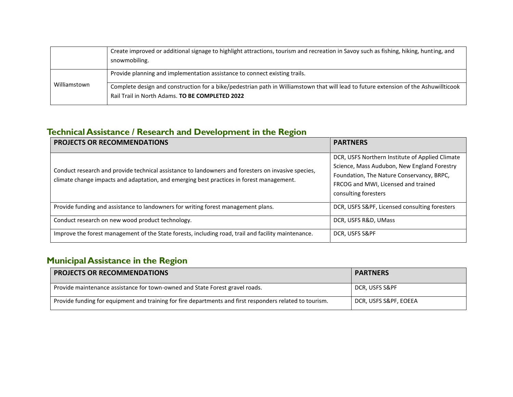|              | Create improved or additional signage to highlight attractions, tourism and recreation in Savoy such as fishing, hiking, hunting, and<br>snowmobiling.                                  |
|--------------|-----------------------------------------------------------------------------------------------------------------------------------------------------------------------------------------|
|              | Provide planning and implementation assistance to connect existing trails.                                                                                                              |
| Williamstown | Complete design and construction for a bike/pedestrian path in Williamstown that will lead to future extension of the Ashuwillticook<br>Rail Trail in North Adams. TO BE COMPLETED 2022 |

## **Technical Assistance / Research and Development in the Region**

| <b>PROJECTS OR RECOMMENDATIONS</b>                                                                                                                                                             | <b>PARTNERS</b>                                                                                                                                                                                            |
|------------------------------------------------------------------------------------------------------------------------------------------------------------------------------------------------|------------------------------------------------------------------------------------------------------------------------------------------------------------------------------------------------------------|
| Conduct research and provide technical assistance to landowners and foresters on invasive species,<br>climate change impacts and adaptation, and emerging best practices in forest management. | DCR, USFS Northern Institute of Applied Climate<br>Science, Mass Audubon, New England Forestry<br>Foundation, The Nature Conservancy, BRPC,<br>FRCOG and MWI, Licensed and trained<br>consulting foresters |
| Provide funding and assistance to landowners for writing forest management plans.                                                                                                              | DCR, USFS S&PF, Licensed consulting foresters                                                                                                                                                              |
| Conduct research on new wood product technology.                                                                                                                                               | DCR, USFS R&D, UMass                                                                                                                                                                                       |
| Improve the forest management of the State forests, including road, trail and facility maintenance.                                                                                            | DCR, USFS S&PF                                                                                                                                                                                             |

# **Municipal Assistance in the Region**

| <b>PROJECTS OR RECOMMENDATIONS</b>                                                                       | <b>PARTNERS</b>       |
|----------------------------------------------------------------------------------------------------------|-----------------------|
| Provide maintenance assistance for town-owned and State Forest gravel roads.                             | DCR, USFS S&PF        |
| Provide funding for equipment and training for fire departments and first responders related to tourism. | DCR, USFS S&PF, EOEEA |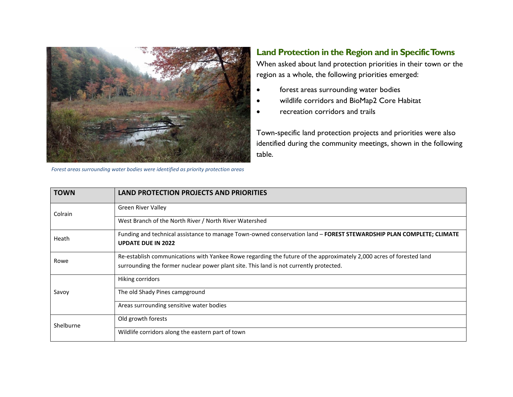

*Forest areas surrounding water bodies were identified as priority protection areas*

## **Land Protection in the Region and in Specific Towns**

When asked about land protection priorities in their town or the region as a whole, the following priorities emerged:

- forest areas surrounding water bodies
- wildlife corridors and BioMap2 Core Habitat
- recreation corridors and trails

Town-specific land protection projects and priorities were also identified during the community meetings, shown in the following table.

| <b>TOWN</b> | <b>LAND PROTECTION PROJECTS AND PRIORITIES</b>                                                                                                   |
|-------------|--------------------------------------------------------------------------------------------------------------------------------------------------|
| Colrain     | <b>Green River Valley</b>                                                                                                                        |
|             | West Branch of the North River / North River Watershed                                                                                           |
| Heath       | Funding and technical assistance to manage Town-owned conservation land - FOREST STEWARDSHIP PLAN COMPLETE; CLIMATE<br><b>UPDATE DUE IN 2022</b> |
| Rowe        | Re-establish communications with Yankee Rowe regarding the future of the approximately 2,000 acres of forested land                              |
|             | surrounding the former nuclear power plant site. This land is not currently protected.                                                           |
|             | Hiking corridors                                                                                                                                 |
| Savoy       | The old Shady Pines campground                                                                                                                   |
|             | Areas surrounding sensitive water bodies                                                                                                         |
| Shelburne   | Old growth forests                                                                                                                               |
|             | Wildlife corridors along the eastern part of town                                                                                                |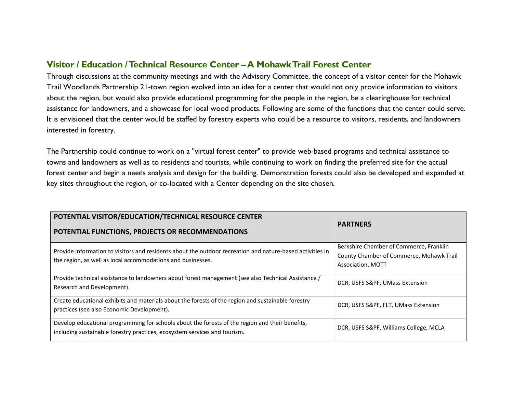## **Visitor / Education / Technical Resource Center –A Mohawk Trail Forest Center**

Through discussions at the community meetings and with the Advisory Committee, the concept of a visitor center for the Mohawk Trail Woodlands Partnership 21-town region evolved into an idea for a center that would not only provide information to visitors about the region, but would also provide educational programming for the people in the region, be a clearinghouse for technical assistance for landowners, and a showcase for local wood products. Following are some of the functions that the center could serve. It is envisioned that the center would be staffed by forestry experts who could be a resource to visitors, residents, and landowners interested in forestry.

The Partnership could continue to work on a "virtual forest center" to provide web-based programs and technical assistance to towns and landowners as well as to residents and tourists, while continuing to work on finding the preferred site for the actual forest center and begin a needs analysis and design for the building. Demonstration forests could also be developed and expanded at key sites throughout the region, or co-located with a Center depending on the site chosen.

| POTENTIAL VISITOR/EDUCATION/TECHNICAL RESOURCE CENTER<br>POTENTIAL FUNCTIONS, PROJECTS OR RECOMMENDATIONS                                                                    | <b>PARTNERS</b>                                                                                          |
|------------------------------------------------------------------------------------------------------------------------------------------------------------------------------|----------------------------------------------------------------------------------------------------------|
| Provide information to visitors and residents about the outdoor recreation and nature-based activities in<br>the region, as well as local accommodations and businesses.     | Berkshire Chamber of Commerce, Franklin<br>County Chamber of Commerce, Mohawk Trail<br>Association, MOTT |
| Provide technical assistance to landowners about forest management (see also Technical Assistance /<br>Research and Development).                                            | DCR, USFS S&PF, UMass Extension                                                                          |
| Create educational exhibits and materials about the forests of the region and sustainable forestry<br>practices (see also Economic Development).                             | DCR, USFS S&PF, FLT, UMass Extension                                                                     |
| Develop educational programming for schools about the forests of the region and their benefits,<br>including sustainable forestry practices, ecosystem services and tourism. | DCR, USFS S&PF, Williams College, MCLA                                                                   |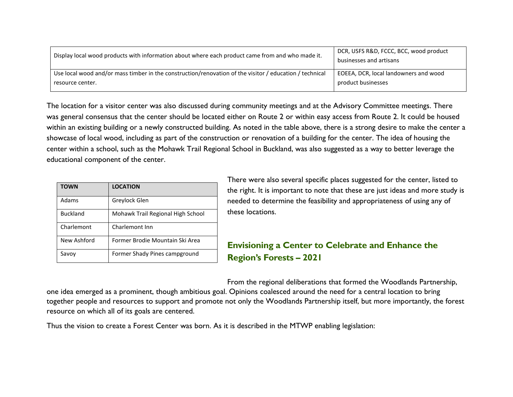| Display local wood products with information about where each product came from and who made it.        | DCR, USFS R&D, FCCC, BCC, wood product<br>businesses and artisans |
|---------------------------------------------------------------------------------------------------------|-------------------------------------------------------------------|
| Use local wood and/or mass timber in the construction/renovation of the visitor / education / technical | EOEEA, DCR, local landowners and wood                             |
| resource center.                                                                                        | product businesses                                                |

The location for a visitor center was also discussed during community meetings and at the Advisory Committee meetings. There was general consensus that the center should be located either on Route 2 or within easy access from Route 2. It could be housed within an existing building or a newly constructed building. As noted in the table above, there is a strong desire to make the center a showcase of local wood, including as part of the construction or renovation of a building for the center. The idea of housing the center within a school, such as the Mohawk Trail Regional School in Buckland, was also suggested as a way to better leverage the educational component of the center.

| <b>TOWN</b>     | <b>LOCATION</b>                   |
|-----------------|-----------------------------------|
| Adams           | Greylock Glen                     |
| <b>Buckland</b> | Mohawk Trail Regional High School |
| Charlemont      | Charlemont Inn                    |
| New Ashford     | Former Brodie Mountain Ski Area   |
| Savov           | Former Shady Pines campground     |

There were also several specific places suggested for the center, listed to the right. It is important to note that these are just ideas and more study is needed to determine the feasibility and appropriateness of using any of these locations.

## **Envisioning a Center to Celebrate and Enhance the Region's Forests – 2021**

From the regional deliberations that formed the Woodlands Partnership, one idea emerged as a prominent, though ambitious goal. Opinions coalesced around the need for a central location to bring together people and resources to support and promote not only the Woodlands Partnership itself, but more importantly, the forest resource on which all of its goals are centered.

Thus the vision to create a Forest Center was born. As it is described in the MTWP enabling legislation: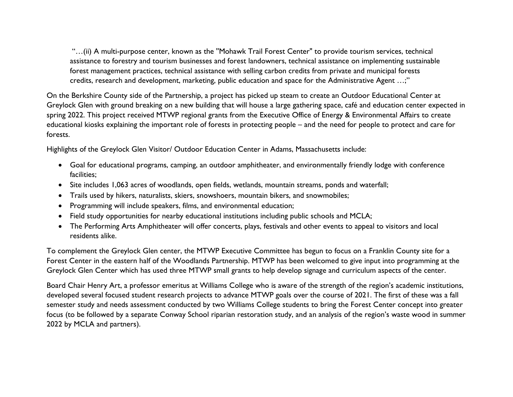"…(ii) A multi-purpose center, known as the ''Mohawk Trail Forest Center" to provide tourism services, technical assistance to forestry and tourism businesses and forest landowners, technical assistance on implementing sustainable forest management practices, technical assistance with selling carbon credits from private and municipal forests credits, research and development, marketing, public education and space for the Administrative Agent …;"

On the Berkshire County side of the Partnership, a project has picked up steam to create an Outdoor Educational Center at Greylock Glen with ground breaking on a new building that will house a large gathering space, café and education center expected in spring 2022. This project received MTWP regional grants from the Executive Office of Energy & Environmental Affairs to create educational kiosks explaining the important role of forests in protecting people – and the need for people to protect and care for forests.

Highlights of the Greylock Glen Visitor/ Outdoor Education Center in Adams, Massachusetts include:

- Goal for educational programs, camping, an outdoor amphitheater, and environmentally friendly lodge with conference facilities;
- Site includes 1,063 acres of woodlands, open fields, wetlands, mountain streams, ponds and waterfall;
- Trails used by hikers, naturalists, skiers, snowshoers, mountain bikers, and snowmobiles;
- Programming will include speakers, films, and environmental education;
- Field study opportunities for nearby educational institutions including public schools and MCLA;
- The Performing Arts Amphitheater will offer concerts, plays, festivals and other events to appeal to visitors and local residents alike.

To complement the Greylock Glen center, the MTWP Executive Committee has begun to focus on a Franklin County site for a Forest Center in the eastern half of the Woodlands Partnership. MTWP has been welcomed to give input into programming at the Greylock Glen Center which has used three MTWP small grants to help develop signage and curriculum aspects of the center.

Board Chair Henry Art, a professor emeritus at Williams College who is aware of the strength of the region's academic institutions, developed several focused student research projects to advance MTWP goals over the course of 2021. The first of these was a fall semester study and needs assessment conducted by two Williams College students to bring the Forest Center concept into greater focus (to be followed by a separate Conway School riparian restoration study, and an analysis of the region's waste wood in summer 2022 by MCLA and partners).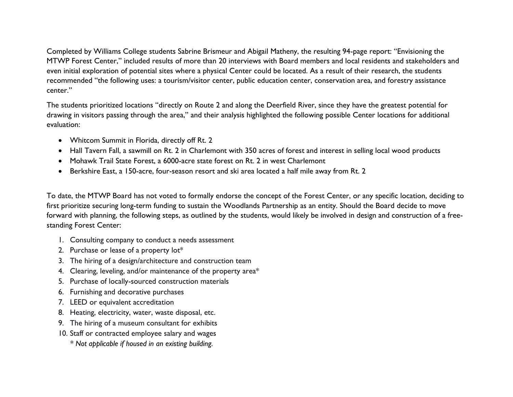Completed by Williams College students Sabrine Brismeur and Abigail Matheny, the resulting 94-page report: "Envisioning the MTWP Forest Center," included results of more than 20 interviews with Board members and local residents and stakeholders and even initial exploration of potential sites where a physical Center could be located. As a result of their research, the students recommended "the following uses: a tourism/visitor center, public education center, conservation area, and forestry assistance center."

The students prioritized locations "directly on Route 2 and along the Deerfield River, since they have the greatest potential for drawing in visitors passing through the area," and their analysis highlighted the following possible Center locations for additional evaluation:

- Whitcom Summit in Florida, directly off Rt. 2
- Hall Tavern Fall, a sawmill on Rt. 2 in Charlemont with 350 acres of forest and interest in selling local wood products
- Mohawk Trail State Forest, a 6000-acre state forest on Rt. 2 in west Charlemont
- Berkshire East, a 150-acre, four-season resort and ski area located a half mile away from Rt. 2

To date, the MTWP Board has not voted to formally endorse the concept of the Forest Center, or any specific location, deciding to first prioritize securing long-term funding to sustain the Woodlands Partnership as an entity. Should the Board decide to move forward with planning, the following steps, as outlined by the students, would likely be involved in design and construction of a freestanding Forest Center:

- 1. Consulting company to conduct a needs assessment
- 2. Purchase or lease of a property lot\*
- 3. The hiring of a design/architecture and construction team
- 4. Clearing, leveling, and/or maintenance of the property area\*
- 5. Purchase of locally-sourced construction materials
- 6. Furnishing and decorative purchases
- 7. LEED or equivalent accreditation
- 8. Heating, electricity, water, waste disposal, etc.
- 9. The hiring of a museum consultant for exhibits
- 10. Staff or contracted employee salary and wages
	- *\* Not applicable if housed in an existing building.*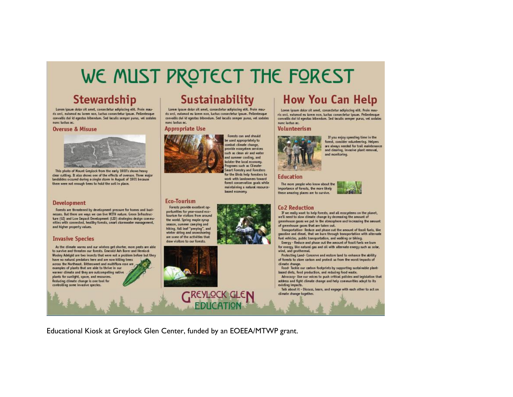# WE MUST PROTECT THE FOREST

# **Stewardship**

Lorem ipsun dolor sit amet, consectetur adipiscing elit. Proin mauris orci, euismod eu lorem non, tuctus consectetur ipsum. Pellentesque convallis dui id egestas bibendum. Sed iaculis semper purus, vel sodales nunc luctus ac.

#### **Overuse & Misuse**



This photo of Mount Greylock from the early 1900's shows heavy clear cutting. It also shows one of the effects of overuse. Three major landslides occured during a single storm in August of 1901 because there were not enough trees to hold the soil in place.

#### **Development**

Forests are threatened by development pressure for homes and businesses. But there are ways we can live WITH nature. Green Infrastructure (GD and Low Impact Development (LID) strategies design communities with connected, healthy forests, smart stormwater management, and higher property values.

#### **Invasive Species**

As the dimate warms and our winters get shorter, more pests are able to survive and threaten our forests. Emerald Ash Borer and Hemlock Wooley Adelgid are two insects that were not a problem before but they have no natural predators here and are now killing trees across the Northeast. Bittersweet and multiflora rose are examples of plants that are able to thrive in our warner climate and they are outcompeting native plants for suntight, space, and resources. Reducing climate change is one tool for controlling some invasive species.

# Sustainability

Loren ipsum dolor sit amet, consectetur adipiscing elit. Proin mauris orci, euismod eu lorem non, luctus consectetur ipsum. Pellentesque convallis dui id egestas bibendum. Sed iaculis semper purus, vel sodales nunc luctus ac

#### **Appropriate Use**



Forests can and should be used appropriately to combat climate change, provide ecosystem services such as clean air and water and summer cooling, and bolster the local economy. Programs such as Climate **Smart Forestry and Foresters** for the Birds help foresters to work with landowners toward forest conservation goals while maintaining a natural resource-

based economy.

#### **Eco-Tourism**

Forests provide excellent opportunities for year-round ecotourism for visitors from around the world. Spring maple syrup season, summer can ping and hiking, fall leaf "peeping", and winter skiing and snowshoeing are some of the activities that draw visitors to our forests.



# **How You Can Help**

Lorem ipsum dolor sit amet, consectetur adipiscing elit. Proin mauris orci, euismod eu lorem non, luctus consectetur ipsum. Pellentesque convallis dui id egestas bibendum. Sed iaculis semper purus, vel sodales nunc luctus ac.

#### Volunteerism



If you enjoy spending time in the forest, consider volunteering. Helpers are always needed for trail maintenance and dearing, invasive plant removal. and monitoring.

#### **Education**

The more people who know about the importance of forests, the more tikely these amazing places are to survive.



#### **Co2 Reduction**

If we really want to help forests, and all ecosystems on the planet, we'll need to slow climate change by decreasing the amount of greenhouse gases we put in the atmosphere and increasing the amount of greenhouse gases that are taken out.

Transportation- Reduce and phase out the amount of fossil fuels, like gasoline and diesel, that we burn through transportation with alternate fuel vehicles, public transportation, and walking or biking.

Energy - Reduce and phase out the anount of fossil fuels we bum for energy, like natural gas and oil with alternate energy such as solar, wind, and geothermal.

Protecting Land- Conserve and restore land to enhance the ability of forests to store carbon and protect us from the worst impacts of dimate change.

Food- Tackle our carbon footprints by supporting sustainable plantbased diets, food production, and reducing food waste.

Advocacy- Use our voices to push critical policies and legislation that address and fight climate change and help communities adapt to its existing impacts.

Talk about it - Discuss, Learn, and engage with each other to act on dimate change together.

Educational Kiosk at Greylock Glen Center, funded by an EOEEA/MTWP grant.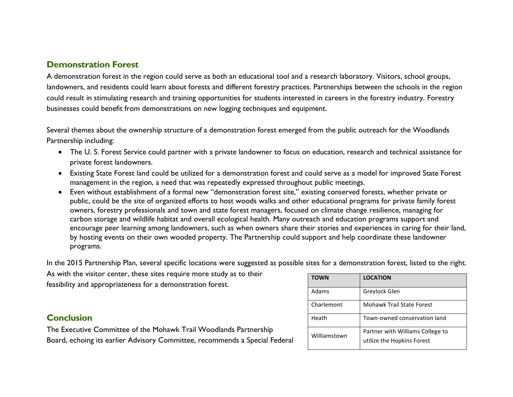## **Demonstration Forest**

A demonstration forest in the region could serve as both an educational tool and a research laboratory. Visitors, school groups, landowners, and residents could learn about forests and different forestry practices. Partnerships between the schools in the region could result in stimulating research and training opportunities for students interested in careers in the forestry industry. Forestry businesses could benefit from demonstrations on new logging techniques and equipment.

Several themes about the ownership structure of a demonstration forest emerged from the public outreach for the Woodlands Partnership including:

- The U. S. Forest Service could partner with a private landowner to focus on education, research and technical assistance for private forest landowners.
- Existing State Forest land could be utilized for a demonstration forest and could serve as a model for improved State Forest management in the region, a need that was repeatedly expressed throughout public meetings.
- Even without establishment of a formal new "demonstration forest site," existing conserved forests, whether private or public, could be the site of organized efforts to host woods walks and other educational programs for private family forest owners, forestry professionals and town and state forest managers, focused on climate change resilience, managing for carbon storage and wildlife habitat and overall ecological health. Many outreach and education programs support and encourage peer learning among landowners, such as when owners share their stories and experiences in caring for their land, by hosting events on their own wooded property. The Partnership could support and help coordinate these landowner programs.

In the 2015 Partnership Plan, several specific locations were suggested as possible sites for a demonstration forest, listed to the right.

As with the visitor center, these sites require more study as to their feasibility and appropriateness for a demonstration forest.

### **Conclusion**

The Executive Committee of the Mohawk Trail Woodlands Partnership Board, echoing its earlier Advisory Committee, recommends a Special Federal

| <b>TOWN</b>  | <b>LOCATION</b>                                                |
|--------------|----------------------------------------------------------------|
| Adams        | Greylock Glen                                                  |
| Charlemont   | <b>Mohawk Trail State Forest</b>                               |
| Heath        | Town-owned conservation land                                   |
| Williamstown | Partner with Williams College to<br>utilize the Hopkins Forest |